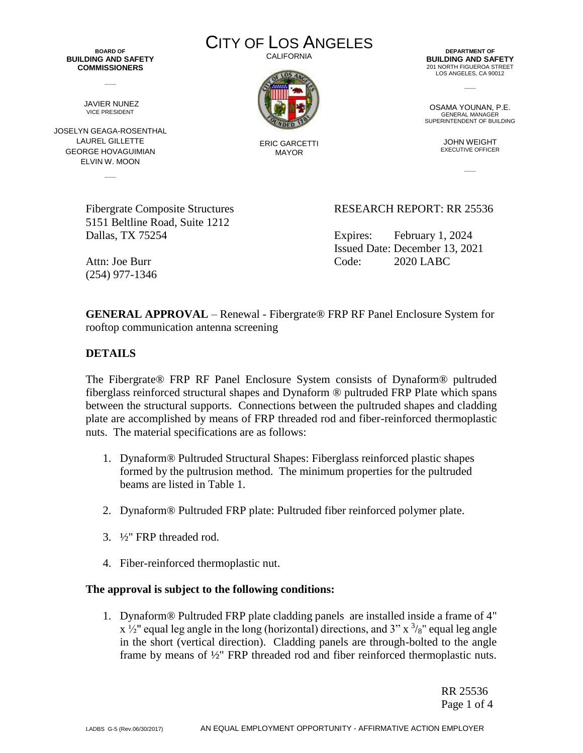**BOARD OF BUILDING AND SAFETY COMMISSIONERS**

 $\overline{\phantom{a}}$ 

JAVIER NUNEZ VICE PRESIDENT

JOSELYN GEAGA-ROSENTHAL LAUREL GILLETTE GEORGE HOVAGUIMIAN ELVIN W. MOON

 $\overline{\phantom{a}}$ 

CITY OF LOS ANGELES CALIFORNIA



ERIC GARCETTI MAYOR

**DEPARTMENT OF BUILDING AND SAFETY** 201 NORTH FIGUEROA STREET LOS ANGELES, CA 90012

 $\overline{\phantom{a}}$ 

OSAMA YOUNAN, P.E. GENERAL MANAGER SUPERINTENDENT OF BUILDING

> JOHN WEIGHT EXECUTIVE OFFICER

> > $\overline{\phantom{a}}$

5151 Beltline Road, Suite 1212 Dallas, TX 75254 Expires: February 1, 2024

Fibergrate Composite Structures RESEARCH REPORT: RR 25536

Issued Date: December 13, 2021 Attn: Joe Burr Code: 2020 LABC

**GENERAL APPROVAL** – Renewal - Fibergrate® FRP RF Panel Enclosure System for

rooftop communication antenna screening

**DETAILS**

(254) 977-1346

The Fibergrate® FRP RF Panel Enclosure System consists of Dynaform® pultruded fiberglass reinforced structural shapes and Dynaform ® pultruded FRP Plate which spans between the structural supports. Connections between the pultruded shapes and cladding plate are accomplished by means of FRP threaded rod and fiber-reinforced thermoplastic nuts. The material specifications are as follows:

- 1. Dynaform® Pultruded Structural Shapes: Fiberglass reinforced plastic shapes formed by the pultrusion method. The minimum properties for the pultruded beams are listed in Table 1.
- 2. Dynaform® Pultruded FRP plate: Pultruded fiber reinforced polymer plate.
- 3. ½" FRP threaded rod.
- 4. Fiber-reinforced thermoplastic nut.

## **The approval is subject to the following conditions:**

1. Dynaform® Pultruded FRP plate cladding panels are installed inside a frame of 4"  $x \frac{1}{2}$  equal leg angle in the long (horizontal) directions, and 3" x  $\frac{3}{8}$ " equal leg angle in the short (vertical direction). Cladding panels are through-bolted to the angle frame by means of ½" FRP threaded rod and fiber reinforced thermoplastic nuts.

> RR 25536 Page 1 of 4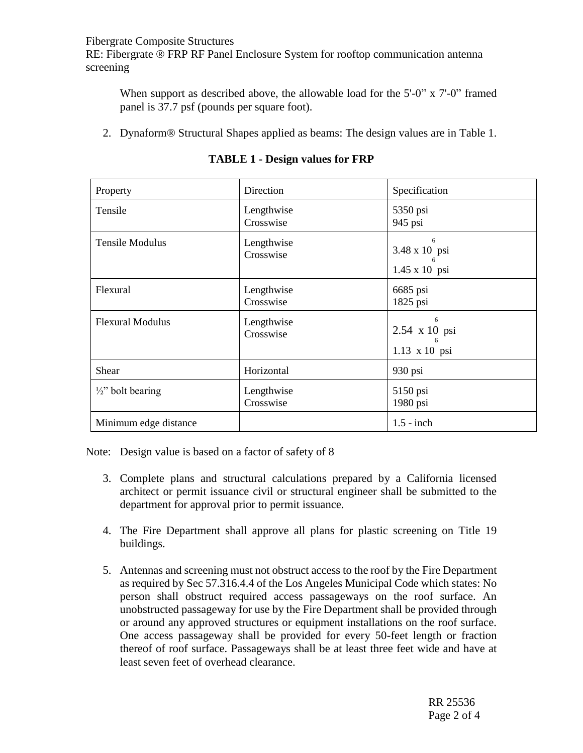Fibergrate Composite Structures

RE: Fibergrate ® FRP RF Panel Enclosure System for rooftop communication antenna screening

When support as described above, the allowable load for the 5'-0" x 7'-0" framed panel is 37.7 psf (pounds per square foot).

2. Dynaform® Structural Shapes applied as beams: The design values are in Table 1.

| Property                     | Direction               | Specification                                   |
|------------------------------|-------------------------|-------------------------------------------------|
| Tensile                      | Lengthwise<br>Crosswise | 5350 psi<br>945 psi                             |
| <b>Tensile Modulus</b>       | Lengthwise<br>Crosswise | 6<br>3.48 x 10 psi<br>6<br>$1.45 \times 10$ psi |
| Flexural                     | Lengthwise<br>Crosswise | 6685 psi<br>1825 psi                            |
| <b>Flexural Modulus</b>      | Lengthwise<br>Crosswise | 6<br>2.54 x 10 psi<br>6<br>1.13 x 10 psi        |
| Shear                        | Horizontal              | 930 psi                                         |
| $\frac{1}{2}$ " bolt bearing | Lengthwise<br>Crosswise | 5150 psi<br>1980 psi                            |
| Minimum edge distance        |                         | $1.5$ - inch                                    |

**TABLE 1 - Design values for FRP**

Note: Design value is based on a factor of safety of 8

- 3. Complete plans and structural calculations prepared by a California licensed architect or permit issuance civil or structural engineer shall be submitted to the department for approval prior to permit issuance.
- 4. The Fire Department shall approve all plans for plastic screening on Title 19 buildings.
- 5. Antennas and screening must not obstruct access to the roof by the Fire Department as required by Sec 57.316.4.4 of the Los Angeles Municipal Code which states: No person shall obstruct required access passageways on the roof surface. An unobstructed passageway for use by the Fire Department shall be provided through or around any approved structures or equipment installations on the roof surface. One access passageway shall be provided for every 50-feet length or fraction thereof of roof surface. Passageways shall be at least three feet wide and have at least seven feet of overhead clearance.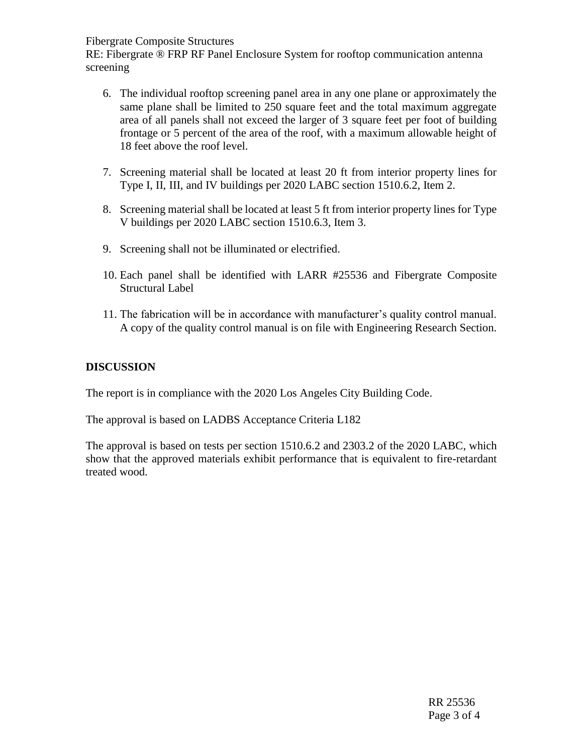Fibergrate Composite Structures

RE: Fibergrate ® FRP RF Panel Enclosure System for rooftop communication antenna screening

- 6. The individual rooftop screening panel area in any one plane or approximately the same plane shall be limited to 250 square feet and the total maximum aggregate area of all panels shall not exceed the larger of 3 square feet per foot of building frontage or 5 percent of the area of the roof, with a maximum allowable height of 18 feet above the roof level.
- 7. Screening material shall be located at least 20 ft from interior property lines for Type I, II, III, and IV buildings per 2020 LABC section 1510.6.2, Item 2.
- 8. Screening material shall be located at least 5 ft from interior property lines for Type V buildings per 2020 LABC section 1510.6.3, Item 3.
- 9. Screening shall not be illuminated or electrified.
- 10. Each panel shall be identified with LARR #25536 and Fibergrate Composite Structural Label
- 11. The fabrication will be in accordance with manufacturer's quality control manual. A copy of the quality control manual is on file with Engineering Research Section.

## **DISCUSSION**

The report is in compliance with the 2020 Los Angeles City Building Code.

The approval is based on LADBS Acceptance Criteria L182

The approval is based on tests per section 1510.6.2 and 2303.2 of the 2020 LABC, which show that the approved materials exhibit performance that is equivalent to fire-retardant treated wood.